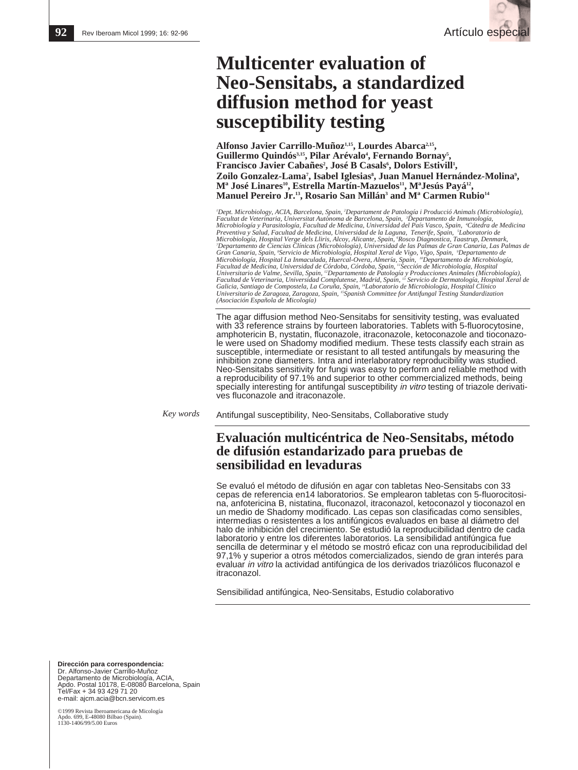

# **Multicenter evaluation of Neo-Sensitabs, a standardized diffusion method for yeast susceptibility testing**

Alfonso Javier Carrillo-Muñoz<sup>1,15</sup>, Lourdes Abarca<sup>2,15</sup>,<br>Guillermo Quindós<sup>3,15</sup>, Pilar Arévalo<sup>4</sup>, Fernando Bornay<sup>5</sup>, Francisco Javier Cabañes<sup>2</sup>, José B Casals<sup>6</sup>, Dolors Estivill<sup>1</sup>, **Zoilo Gonzalez-Lama7 , Isabel Iglesias8 , Juan Manuel Hernández-Molina9 , Mª José Linares10, Estrella Martín-Mazuelos11, MªJesús Payá12, Manuel Pereiro Jr.13, Rosario San Millán3 and Mª Carmen Rubio14**

'Dept. Microbiology, ACIA, Barcelona, Spain, 'Departament de Patología i Producció Animals (Microbiología),<br>Facultat de Veterinaria, Universitat Autònoma de Barcelona, Spain, 'Departamento de Inmunología,<br>Microbiología y P Preventiva y Salud, Facultad de Medicina, Universidad de la Laguna, Tenerife, Spain, †Laboratorio de<br>Microbiología, Hospital Verge dels Lliris, Alcoy, Alicante, Spain, †Rosco Diagnostica, Taastrup, Denmark,<br>"Departamento d Gran Canaria, Spain, <sup>s</sup>Servicio de Microbiología, Hospital Xeral de Vigo, Vigo, Spain, *°Departamento de*<br>Microbiología, Hospital La Inmaculada, Huercal-Overa, Almería, Spain, *™Departamento de Microbiología,*<br>Facultad de Universitario de Valme, Sevilla, Spain, <sup>12</sup>Departamento de Patología y Producciones Animales (Microbiología),<br>Facultad de Veterinaria, Universidad Complutense, Madrid, Spain, <sup>13</sup> Servicio de Dermatología, Hospital Xeral *Galicia, Santiago de Compostela, La Coruña, Spain, 14Laboratorio de Microbiología, Hospital Clínico Universitario de Zaragoza, Zaragoza, Spain, 15Spanish Committee for Antifungal Testing Standardization (Asociación Española de Micología)*

The agar diffusion method Neo-Sensitabs for sensitivity testing, was evaluated with 33 reference strains by fourteen laboratories. Tablets with 5-fluorocytosine, amphotericin B, nystatin, fluconazole, itraconazole, ketoconazole and tioconazole were used on Shadomy modified medium. These tests classify each strain as susceptible, intermediate or resistant to all tested antifungals by measuring the inhibition zone diameters. Intra and interlaboratory reproducibility was studied. Neo-Sensitabs sensitivity for fungi was easy to perform and reliable method with a reproducibility of 97.1% and superior to other commercialized methods, being specially interesting for antifungal susceptibility in vitro testing of triazole derivatives fluconazole and itraconazole.

*Key words*

Antifungal susceptibility, Neo-Sensitabs, Collaborative study

## **Evaluación multicéntrica de Neo-Sensitabs, método de difusión estandarizado para pruebas de sensibilidad en levaduras**

Se evaluó el método de difusión en agar con tabletas Neo-Sensitabs con 33 cepas de referencia en14 laboratorios. Se emplearon tabletas con 5-fluorocitosina, anfotericina B, nistatina, fluconazol, itraconazol, ketoconazol y tioconazol en un medio de Shadomy modificado. Las cepas son clasificadas como sensibles, intermedias o resistentes a los antifúngicos evaluados en base al diámetro del halo de inhibición del crecimiento. Se estudió la reproducibilidad dentro de cada laboratorio y entre los diferentes laboratorios. La sensibilidad antifúngica fue sencilla de determinar y el método se mostró eficaz con una reproducibilidad del 97,1% y superior a otros métodos comercializados, siendo de gran interés para evaluar in vitro la actividad antifúngica de los derivados triazólicos fluconazol e itraconazol.

Sensibilidad antifúngica, Neo-Sensitabs, Estudio colaborativo

**Dirección para correspondencia:**  Dr. Alfonso-Javier Carrillo-Muñoz Departamento de Microbiología, ACIA, Apdo. Postal 10178, E-08080 Barcelona, Spain Tel/Fax + 34 93 429 71 20 e-mail: ajcm.acia@bcn.servicom.es

©1999 Revista Iberoamericana de Micología Apdo. 699, E-48080 Bilbao (Spain). Apuo. 022, Lectron Lines<br>1130-1406/99/5.00 Euros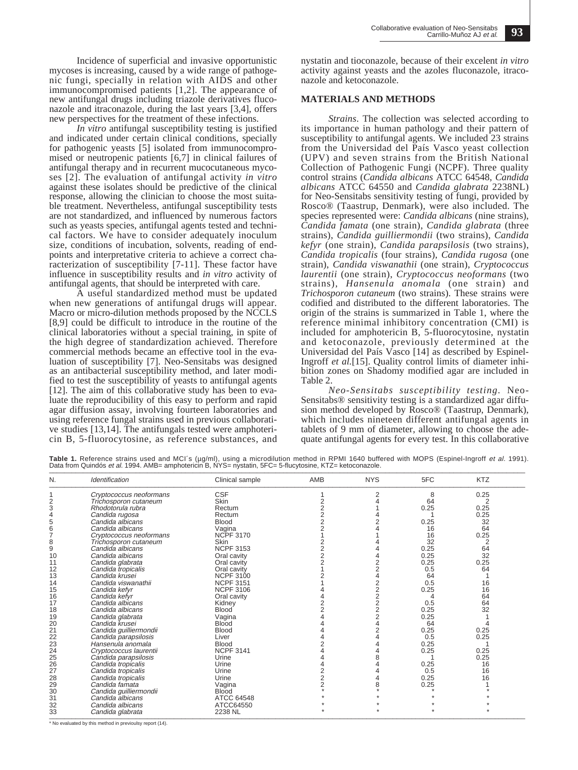Incidence of superficial and invasive opportunistic mycoses is increasing, caused by a wide range of pathogenic fungi, specially in relation with AIDS and other immunocompromised patients [1,2]. The appearance of new antifungal drugs including triazole derivatives fluconazole and itraconazole, during the last years [3,4], offers new perspectives for the treatment of these infections.

*In vitro* antifungal susceptibility testing is justified and indicated under certain clinical conditions, specially for pathogenic yeasts [5] isolated from immunocompromised or neutropenic patients [6,7] in clinical failures of antifungal therapy and in recurrent mucocutaneous mycoses [2]. The evaluation of antifungal activity *in vitro* against these isolates should be predictive of the clinical response, allowing the clinician to choose the most suitable treatment. Nevertheless, antifungal susceptibility tests are not standardized, and influenced by numerous factors such as yeasts species, antifungal agents tested and technical factors. We have to consider adequately inoculum size, conditions of incubation, solvents, reading of endpoints and interpretative criteria to achieve a correct characterization of susceptibility [7-11]. These factor have influence in susceptibility results and *in vitro* activity of antifungal agents, that should be interpreted with care.

A useful standardized method must be updated when new generations of antifungal drugs will appear. Macro or micro-dilution methods proposed by the NCCLS [8,9] could be difficult to introduce in the routine of the clinical laboratories without a special training, in spite of the high degree of standardization achieved. Therefore commercial methods became an effective tool in the evaluation of susceptibility [7]. Neo-Sensitabs was designed as an antibacterial susceptibility method, and later modified to test the susceptibility of yeasts to antifungal agents [12]. The aim of this collaborative study has been to evaluate the reproducibility of this easy to perform and rapid agar diffusion assay, involving fourteen laboratories and using reference fungal strains used in previous collaborative studies [13,14]. The antifungals tested were amphotericin B, 5-fluorocytosine, as reference substances, and nystatin and tioconazole, because of their excelent *in vitro* activity against yeasts and the azoles fluconazole, itraconazole and ketoconazole.

### **MATERIALS AND METHODS**

*Strains*. The collection was selected according to its importance in human pathology and their pattern of susceptibility to antifungal agents. We included 23 strains from the Universidad del País Vasco yeast collection (UPV) and seven strains from the British National Collection of Pathogenic Fungi (NCPF). Three quality control strains (*Candida albicans* ATCC 64548, *Candida albicans* ATCC 64550 and *Candida glabrata* 2238NL) for Neo-Sensitabs sensitivity testing of fungi, provided by Rosco® (Taastrup, Denmark), were also included. The species represented were: *Candida albicans* (nine strains), *Candida famata* (one strain), *Candida glabrata* (three strains), *Candida guilliermondii* (two strains), *Candida kefyr* (one strain), *Candida parapsilosis* (two strains), *Candida tropicalis* (four strains), *Candida rugosa* (one strain), *Candida viswanathii* (one strain), *Cryptococcus laurentii* (one strain), *Cryptococcus neoformans* (two strains), *Hansenula anomala* (one strain) and *Trichosporon cutaneum* (two strains). These strains were codified and distributed to the different laboratories. The origin of the strains is summarized in Table 1, where the reference minimal inhibitory concentration (CMI) is included for amphotericin B, 5-fluorocytosine, nystatin and ketoconazole, previously determined at the Universidad del País Vasco [14] as described by Espinel-Ingroff *et al.*[15]. Quality control limits of diameter inhibition zones on Shadomy modified agar are included in Table 2.

*Neo-Sensitabs susceptibility testing.* Neo-Sensitabs® sensitivity testing is a standardized agar diffusion method developed by Rosco® (Taastrup, Denmark), which includes nineteen different antifungal agents in tablets of 9 mm of diameter, allowing to choose the adequate antifungal agents for every test. In this collaborative

Table 1. Reference strains used and MCI´s (µg/ml), using a microdilution method in RPMI 1640 buffered with MOPS (Espinel-Ingroff *et al.* 1991).<br>Data from Quindós *et al.* 1994. AMB= amphotericin B, NYS= nystatin, 5FC= 5-f

| N. | Identification          | Clinical sample  | AMB            | <b>NYS</b> | 5FC  | <b>KTZ</b> |  |
|----|-------------------------|------------------|----------------|------------|------|------------|--|
|    | Cryptococcus neoformans | <b>CSF</b>       |                | 2          | 8    | 0.25       |  |
|    | Trichosporon cutaneum   | Skin             | 2              |            | 64   | 2          |  |
| 3  | Rhodotorula rubra       | Rectum           | $\overline{2}$ |            | 0.25 | 0.25       |  |
|    | Candida rugosa          | Rectum           | $\overline{2}$ |            |      | 0.25       |  |
| 5  | Candida albicans        | <b>Blood</b>     | $\overline{2}$ |            | 0.25 | 32         |  |
| 6  | Candida albicans        | Vagina           |                |            | 16   | 64         |  |
|    | Cryptococcus neoformans | <b>NCPF 3170</b> |                |            | 16   | 0.25       |  |
| 8  | Trichosporon cutaneum   | Skin             | 2              |            | 32   | 2          |  |
| 9  | Candida albicans        | <b>NCPF 3153</b> | 2              |            | 0.25 | 64         |  |
| 10 | Candida albicans        | Oral cavity      | $\overline{2}$ |            | 0.25 | 32         |  |
| 11 | Candida glabrata        | Oral cavity      |                |            | 0.25 | 0.25       |  |
| 12 | Candida tropicalis      | Oral cavity      |                |            | 0.5  | 64         |  |
| 13 | Candida krusei          | <b>NCPF 3100</b> |                |            | 64   |            |  |
| 14 | Candida viswanathii     | <b>NCPF 3151</b> |                |            | 0.5  | 16         |  |
| 15 | Candida kefyr           | <b>NCPF 3106</b> |                |            | 0.25 | 16         |  |
| 16 | Candida kefyr           | Oral cavity      |                |            |      | 64         |  |
| 17 | Candida albicans        | Kidney           |                |            | 0.5  | 64         |  |
| 18 | Candida albicans        | <b>Blood</b>     |                |            | 0.25 | 32         |  |
| 19 | Candida glabrata        | Vagina           |                |            | 0.25 |            |  |
| 20 | Candida krusei          | <b>Blood</b>     |                |            | 64   |            |  |
| 21 | Candida guilliermondii  | <b>Blood</b>     |                |            | 0.25 | 0.25       |  |
| 22 | Candida parapsilosis    | Liver            |                |            | 0.5  | 0.25       |  |
| 23 | Hansenula anomala       | <b>Blood</b>     |                |            | 0.25 |            |  |
| 24 | Cryptococcus laurentii  | <b>NCPF 3141</b> |                |            | 0.25 | 0.25       |  |
| 25 | Candida parapsilosis    | Urine            |                |            |      | 0.25       |  |
| 26 | Candida tropicalis      | Urine            |                |            | 0.25 | 16         |  |
| 27 | Candida tropicalis      | Urine            |                |            | 0.5  | 16         |  |
| 28 | Candida tropicalis      | Urine            | $\overline{2}$ |            | 0.25 | 16         |  |
| 29 | Candida famata          | Vagina           | $\overline{2}$ |            | 0.25 |            |  |
| 30 | Candida guilliermondii  | <b>Blood</b>     |                |            |      |            |  |
| 31 | Candida albicans        | ATCC 64548       |                |            |      |            |  |
| 32 | Candida albicans        | ATCC64550        |                |            |      |            |  |
| 33 | Candida glabrata        | 2238 NL          |                |            |      |            |  |

\* No evaluated by this method in previoulsy report (14).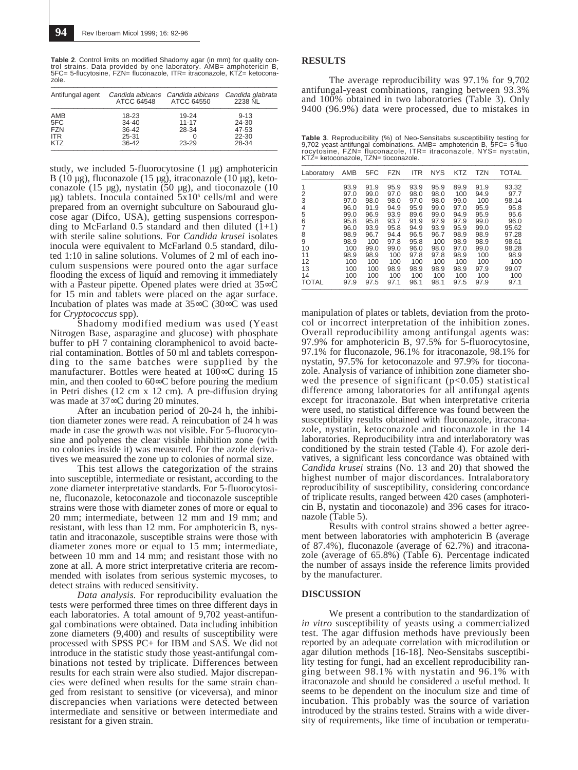**Table 2**. Control limits on modified Shadomy agar (in mm) for quality control strains. Data provided by one laboratory. AMB= amphotericin B, 5FC= 5-flucytosine, FZN= fluconazole, ITR= itraconazole, KTZ= ketoconazole. \_\_\_\_\_\_\_\_\_\_\_\_\_\_\_\_\_\_\_\_\_\_\_\_\_\_\_\_\_\_\_\_\_\_\_\_\_\_\_\_\_\_\_\_\_\_\_\_\_\_\_\_\_\_\_\_\_\_\_\_

| Antifungal agent                              | ATCC 64548                                            | Candida albicans Candida albicans Candida glabrata<br>ATCC 64550 | 2238 NL                                      |
|-----------------------------------------------|-------------------------------------------------------|------------------------------------------------------------------|----------------------------------------------|
| AMB<br>5FC<br><b>FZN</b><br><b>ITR</b><br>KT7 | 18-23<br>$34 - 40$<br>$36 - 42$<br>25-31<br>$36 - 42$ | 19-24<br>$11 - 17$<br>28-34<br>$23 - 29$                         | $9 - 13$<br>24-30<br>47-53<br>22-30<br>28-34 |

study, we included 5-fluorocytosine (1 µg) amphotericin B (10 µg), fluconazole (15 µg), itraconazole (10 µg), ketoconazole (15 µg), nystatin (50 µg), and tioconazole (10  $\mu$ g) tablets. Inocula contained  $5x10^5$  cells/ml and were prepared from an overnight subculture on Sabouraud glucose agar (Difco, USA), getting suspensions corresponding to McFarland  $0.5$  standard and then diluted  $(1+1)$ with sterile saline solutions. For *Candida krusei* isolates inocula were equivalent to McFarland 0.5 standard, diluted 1:10 in saline solutions. Volumes of 2 ml of each inoculum suspensions were poured onto the agar surface flooding the excess of liquid and removing it immediately with a Pasteur pipette. Opened plates were dried at 35∞C for 15 min and tablets were placed on the agar surface. Incubation of plates was made at 35∞C (30∞C was used for *Cryptococcus* spp).

Shadomy modified medium was used (Yeast Nitrogen Base, asparagine and glucose) with phosphate buffer to pH 7 containing cloramphenicol to avoid bacterial contamination. Bottles of 50 ml and tablets corresponding to the same batches were supplied by the manufacturer. Bottles were heated at 100∞C during 15 min, and then cooled to 60∞C before pouring the medium in Petri dishes (12 cm x 12 cm). A pre-diffusion drying was made at 37∞C during 20 minutes.

After an incubation period of 20-24 h, the inhibition diameter zones were read. A reincubation of 24 h was made in case the growth was not visible. For 5-fluorocytosine and polyenes the clear visible inhibition zone (with no colonies inside it) was measured. For the azole derivatives we measured the zone up to colonies of normal size.

This test allows the categorization of the strains into susceptible, intermediate or resistant, according to the zone diameter interpretative standards. For 5-fluorocytosine, fluconazole, ketoconazole and tioconazole susceptible strains were those with diameter zones of more or equal to 20 mm; intermediate, between 12 mm and 19 mm; and resistant, with less than 12 mm. For amphotericin B, nystatin and itraconazole, susceptible strains were those with diameter zones more or equal to 15 mm; intermediate, between 10 mm and 14 mm; and resistant those with no zone at all. A more strict interpretative criteria are recommended with isolates from serious systemic mycoses, to detect strains with reduced sensitivity.

*Data analysis.* For reproducibility evaluation the tests were performed three times on three different days in each laboratories. A total amount of 9,702 yeast-antifungal combinations were obtained. Data including inhibition zone diameters (9,400) and results of susceptibility were processed with SPSS PC+ for IBM and SAS. We did not introduce in the statistic study those yeast-antifungal combinations not tested by triplicate. Differences between results for each strain were also studied. Major discrepancies were defined when results for the same strain changed from resistant to sensitive (or viceversa), and minor discrepancies when variations were detected between intermediate and sensitive or between intermediate and resistant for a given strain.

#### **RESULTS**

The average reproducibility was 97.1% for 9,702 antifungal-yeast combinations, ranging between 93.3% and 100% obtained in two laboratories (Table 3). Only 9400 (96.9%) data were processed, due to mistakes in

**Table 3**. Reproducibility (%) of Neo-Sensitabs susceptibility testing for<br>9,702 yeast-antifungal combinations. AMB= amphotericin B, 5FC= 5-fluo-<br>rocytosine, FZN= fluconazole, ITR= itraconazole, NYS= nystatin, KTZ= ketoconazole, TZN= tioconazole. \_\_\_\_\_\_\_\_\_\_\_\_\_\_\_\_\_\_\_\_\_\_\_\_\_\_\_\_\_\_\_\_\_\_\_\_\_\_\_\_\_\_\_\_\_\_\_\_\_\_\_\_\_\_\_\_\_\_\_\_

| Laboratory   | AMB  | 5FC  | <b>FZN</b> | <b>ITR</b> | <b>NYS</b> | KTZ  | <b>TZN</b> | TOTAL |
|--------------|------|------|------------|------------|------------|------|------------|-------|
| 1            | 93.9 | 91.9 | 95.9       | 93.9       | 95.9       | 89.9 | 91.9       | 93.32 |
| 2            | 97.0 | 99.0 | 97.0       | 98.0       | 98.0       | 100  | 94.9       | 97.7  |
| 3            | 97.0 | 98.0 | 98.0       | 97.0       | 98.0       | 99.0 | 100        | 98.14 |
| 4            | 96.0 | 91.9 | 94.9       | 95.9       | 99.0       | 97.0 | 95.9       | 95.8  |
| 5            | 99.0 | 96.9 | 93.9       | 89.6       | 99.0       | 94.9 | 95.9       | 95.6  |
| 6            | 95.8 | 95.8 | 93.7       | 91.9       | 97.9       | 97.9 | 99.0       | 96.0  |
| 7            | 96.0 | 93.9 | 95.8       | 94.9       | 93.9       | 95.9 | 99.0       | 95.62 |
| 8            | 98.9 | 96.7 | 94.4       | 96.5       | 96.7       | 98.9 | 98.9       | 97.28 |
| 9            | 98.9 | 100  | 97.8       | 95.8       | 100        | 98.9 | 98.9       | 98.61 |
| 10           | 100  | 99.0 | 99.0       | 96.0       | 98.0       | 97.0 | 99.0       | 98.28 |
| 11           | 98.9 | 98.9 | 100        | 97.8       | 97.8       | 98.9 | 100        | 98.9  |
| 12           | 100  | 100  | 100        | 100        | 100        | 100  | 100        | 100   |
| 13           | 100  | 100  | 98.9       | 98.9       | 98.9       | 98.9 | 97.9       | 99.07 |
| 14           | 100  | 100  | 100        | 100        | 100        | 100  | 100        | 100   |
| <b>TOTAL</b> | 97.9 | 97.5 | 97.1       | 96.1       | 98.1       | 97.5 | 97.9       | 97.1  |

manipulation of plates or tablets, deviation from the protocol or incorrect interpretation of the inhibition zones. Overall reproducibility among antifungal agents was: 97.9% for amphotericin B, 97.5% for 5-fluorocytosine, 97.1% for fluconazole, 96.1% for itraconazole, 98.1% for nystatin, 97.5% for ketoconazole and 97.9% for tioconazole. Analysis of variance of inhibition zone diameter showed the presence of significant  $(p<0.05)$  statistical difference among laboratories for all antifungal agents except for itraconazole. But when interpretative criteria were used, no statistical difference was found between the susceptibility results obtained with fluconazole, itraconazole, nystatin, ketoconazole and tioconazole in the 14 laboratories. Reproducibility intra and interlaboratory was conditioned by the strain tested (Table 4). For azole derivatives, a significant less concordance was obtained with *Candida krusei* strains (No. 13 and 20) that showed the highest number of major discordances. Intralaboratory reproducibility of susceptibility, considering concordance of triplicate results, ranged between 420 cases (amphotericin B, nystatin and tioconazole) and 396 cases for itraconazole (Table 5).

Results with control strains showed a better agreement between laboratories with amphotericin B (average of 87.4%), fluconazole (average of 62.7%) and itraconazole (average of 65.8%) (Table 6). Percentage indicated the number of assays inside the reference limits provided by the manufacturer.

#### **DISCUSSION**

We present a contribution to the standardization of *in vitro* susceptibility of yeasts using a commercialized test. The agar diffusion methods have previously been reported by an adequate correlation with microdilution or agar dilution methods [16-18]. Neo-Sensitabs susceptibility testing for fungi, had an excellent reproducibility ranging between 98.1% with nystatin and 96.1% with itraconazole and should be considered a useful method. It seems to be dependent on the inoculum size and time of incubation. This probably was the source of variation introduced by the strains tested. Strains with a wide diversity of requirements, like time of incubation or temperatu-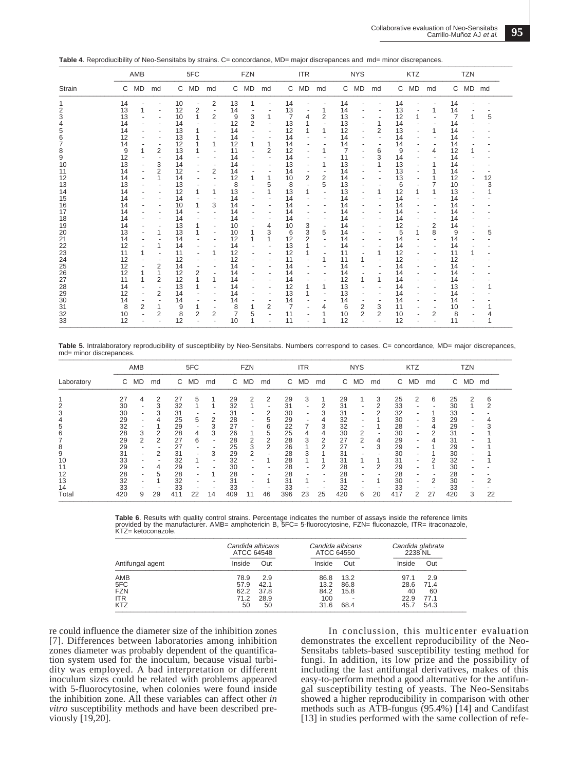| Table 4. Reprodiucibility of Neo-Sensitabs by strains. C= concordance, MD= major discrepances and md= minor discrepances. |
|---------------------------------------------------------------------------------------------------------------------------|
|                                                                                                                           |

|               | AMB      |                | 5FC            |          |               | <b>FZN</b> |          |                | <b>ITR</b>     |          |                          | <b>NYS</b> |              |                   | KTZ            |          |      | <b>TZN</b> |          |         |    |
|---------------|----------|----------------|----------------|----------|---------------|------------|----------|----------------|----------------|----------|--------------------------|------------|--------------|-------------------|----------------|----------|------|------------|----------|---------|----|
| <b>Strain</b> |          | C MD           | md             |          | C MD          | md         |          | C MD           | md             |          | C MD                     | md         | $\mathsf{C}$ | MD                | md             |          | C MD | md         |          | C MD md |    |
|               | 14       |                |                | 10       |               | 2          | 13       |                |                | 14       |                          |            | 14           |                   |                | 14       |      |            | 14       |         |    |
|               | 13       |                |                | 12       | $\frac{2}{1}$ |            | 14       |                |                | 13       |                          |            | 14           |                   |                | 13       |      | 1          | 14       |         |    |
| 3             | 13       |                |                | 10       |               | 2          | 9        | 3              | 1              | 7        | 4                        | 2          | 13           |                   |                | 12       |      |            | 7        |         | 5  |
|               | 14       |                |                | 14       |               |            | 12       | $\overline{2}$ |                | 13       |                          |            | 13           |                   | 1              | 14       |      |            | 14       |         |    |
|               | 14       |                |                | 13       | 1             |            | 14       |                | $\overline{a}$ | 12       |                          |            | 12           |                   | $\overline{2}$ | 13       |      |            | 14       |         |    |
| 6             | 12       |                |                | 13       |               |            | 14       |                |                | 14       |                          |            | 14           |                   |                | 14       |      |            | 14       |         |    |
|               | 14       |                |                | 12       |               |            | 12       |                | 1              | 14       |                          |            | 14           |                   |                | 14       |      |            | 14       |         |    |
| 8             | 9        |                | $\overline{2}$ | 13       |               |            | 11       |                | 2              | 12       |                          |            |              |                   | 6              | 9        |      | 4          | 12       |         |    |
| 9             | 12       |                |                | 14       |               |            | 14       |                |                | 14       | ٠                        |            | 11           |                   | 3              | 14       |      |            | 14       |         |    |
| 10            | 13       |                | 3              | 14       |               |            | 14       |                |                | 13       |                          |            | 13           |                   | 1              | 13       |      |            | 14       |         |    |
| 11            | 14       |                | 2              | 12       | ٠             | 2          | 14       |                |                | 14       |                          |            | 14           |                   |                | 13       |      |            | 14       |         |    |
| 12            | 14       |                |                | 14       |               |            | 12       |                |                | 10       | 2                        | 2          | 14           |                   |                | 13       |      |            | 12       |         | 12 |
| 13            | 13       |                |                | 13       |               |            | 8        |                | 5              | 8        |                          | 5          | 13           |                   |                | 6        |      |            | 10       |         | 3  |
| 14            | 14       |                |                | 12       | 1             |            | 13       |                | 1              | 13       |                          |            | 13           |                   | 1              | 12       |      |            | 13       |         |    |
| 15            | 14       |                |                | 14       |               |            | 14       |                |                | 14       |                          |            | 14           |                   |                | 14       |      |            | 14       |         |    |
| 16            | 14       |                |                | 10       | 1             | 3          | 14       |                |                | 14       |                          |            | 14           |                   |                | 14       |      |            | 14       |         |    |
| 17            | 14       |                |                | 14       |               |            | 14       |                |                | 14       |                          |            | 14           |                   |                | 14       |      |            | 14       |         |    |
| 18            | 14       |                |                | 14       |               |            | 14       |                |                | 14       |                          |            | 14           |                   |                | 14       |      |            | 14       |         |    |
| 19            | 14       |                |                | 13       | 1             |            | 10       |                | 4              | 10       | 3                        |            | 14           |                   |                | 12       |      | 2          | 14       |         |    |
| 20            | 13       |                | 1              | 13       | 1             |            | 10       |                | 3<br>1         | 6        | 3                        | 5          | 14           |                   |                | 5        |      | 8          | 9        |         | 5  |
| 21            | 14       |                |                | 14       |               |            | 12       |                |                | 12       | 2                        |            | 14           |                   | ٠              | 14       |      |            | 14       |         |    |
| 22            | 12       |                |                | 14       |               |            | 14       |                |                | 13       |                          |            | 14           |                   |                | 14       |      |            | 14       |         |    |
| 23<br>24      | 11<br>12 |                |                | 11<br>12 |               |            | 12<br>12 |                |                | 12<br>11 |                          | 1          | 11<br>11     | ٠<br>$\mathbf{1}$ | 1              | 12<br>12 |      |            | 11<br>12 |         |    |
|               | 12       |                | $\overline{2}$ | 14       |               |            | 14       |                |                | 14       | $\overline{\phantom{a}}$ |            | 14           |                   | ٠              | 14       |      |            | 14       |         |    |
| 25<br>26      | 12       |                |                | 12       | 2             |            | 14       |                |                | 14       |                          |            | 14           |                   |                | 14       |      |            | 14       |         |    |
| 27            | 11       |                |                |          | 1             |            |          |                |                |          |                          |            |              |                   | 1              | 14       |      |            |          |         |    |
| 28            | 14       |                | 2              | 12<br>13 | 1             |            | 14<br>14 |                |                | 14<br>12 |                          |            | 12<br>13     |                   |                | 14       |      |            | 14<br>13 |         |    |
| 29            | 12       |                | $\overline{2}$ | 14       |               |            | 14       |                |                | 13       |                          |            | 13           |                   |                | 14       |      |            | 14       |         |    |
| 30            | 14       |                |                | 14       |               |            | 14       |                |                | 14       |                          |            | 14           |                   |                | 14       |      |            | 14       |         |    |
| 31            | 8        | $\overline{2}$ |                | 9        |               |            | 8        |                | 2              | 7        |                          | 4          | 6            | 2                 | 3              | 11       |      |            | 10       |         |    |
| 32            | 10       |                | 2              | 8        | 2             | 2          | 7        |                |                | 11       |                          |            | 10           | 2                 | 2              | 10       |      | 2          | 8        |         |    |
| 33            | 12       |                |                | 12       |               |            | 10       | 5              |                | 11       |                          | 1          | 12           |                   |                | 12       |      |            | 11       |         |    |

Table 5. Intralaboratory reproducibility of susceptibility by Neo-Sensitabs. Numbers correspond to cases. C= concordance, MD= major discrepances, md= minor discrepances.  $\frac{1}{2}$  . The contribution of the contribution of the contribution of the contribution of the contribution of the contribution of the contribution of the contribution of the contribution of the contribution of the contr

|            |     | AMB |                | 5FC |    |    | <b>FZN</b> |    |    | <b>ITR</b> |    |                          | <b>NYS</b> |    | <b>KTZ</b>               |     |                          | TZN |     |       |    |
|------------|-----|-----|----------------|-----|----|----|------------|----|----|------------|----|--------------------------|------------|----|--------------------------|-----|--------------------------|-----|-----|-------|----|
| Laboratory | C   | MD  | md             | C   | MD | md | C          | MD | md | C          | MD | md                       | C          | MD | md                       | C   | MD                       | md  | C   | MD md |    |
|            | 27  | 4   | 2              | 27  | 5  |    | 29         | 2  | 2  | 29         | 3  |                          | 29         |    | 3                        | 25  | 2                        | 6   | 25  | 2     | 6  |
| 2          | 30  | ٠   | 3              | 32  |    |    | 32         |    | ٠  | 31         | ٠  | 2                        | 31         | ٠  | 2                        | 33  | ٠                        |     | 30  |       |    |
| 3          | 30  |     | 3              | 31  |    |    | 31         |    |    | 30         |    |                          | 31         |    |                          | 32  |                          |     | 33  |       |    |
| 4          | 29  |     |                | 25  | 5  | 2  | 28         | ٠  | 5  | 29         |    |                          | 32         |    |                          | 30  |                          | 3   | 29  |       |    |
| 5          | 32  |     |                | 29  |    | 3  | 27         |    | 6  | 22         |    | 3                        | 32         |    |                          | 28  |                          |     | 29  |       |    |
| 6          | 28  | 3   | 2              | 28  | 4  | 3  | 26         |    | 5  | 25         | 4  | 4                        | 30         | 2  | $\overline{\phantom{a}}$ | 30  | $\overline{\phantom{a}}$ |     | 31  |       |    |
|            | 29  | 2   | $\overline{2}$ | 27  | 6  |    | 28         | 2  | 2  | 28         | 3  | 2                        | 27         | 2  | 4                        | 29  |                          |     | 31  |       |    |
| 8          | 29  |     |                | 27  |    |    | 25         | 3  | 2  | 26         |    | 2                        | 27         | ۰  | 3                        | 29  |                          |     | 29  |       |    |
| 9          | 31  |     | 2              | 31  |    | 3  | 29         | 2  |    | 28         | 3  |                          | 31         |    |                          | 30  |                          |     | 30  |       |    |
| 10         | 33  |     |                | 32  |    | ۰  | 32         |    |    | 28         |    |                          | 31         |    |                          | 31  |                          |     | 32  |       |    |
|            | 29  |     | 4              | 29  |    |    | 30         |    |    | 28         |    |                          | 28         |    | 2                        | 29  |                          |     | 30  |       |    |
| 12         | 28  | ٠   | 5              | 28  |    |    | 28         | ۰  |    | 28         |    |                          | 28         |    |                          | 28  |                          |     | 28  |       |    |
| 13         | 32  |     |                | 32  |    |    | 31         |    |    | 31         |    | $\overline{\phantom{0}}$ | 31         |    |                          | 30  |                          | 2   | 30  |       |    |
| 14         | 33  |     |                | 33  |    |    | 33         |    |    | 33         |    |                          | 32         |    |                          | 33  |                          |     | 33  |       |    |
| Total      | 420 | 9   | 29             | 411 | 22 | 14 | 409        | 11 | 46 | 396        | 23 | 25                       | 420        | 6  | 20                       | 417 | 2                        | 27  | 420 | 3     | 22 |

**Table 6**. Results with quality control strains. Percentage indicates the number of assays inside the reference limits provided by the manufacturer. AMB= amphotericin B, 5FC= 5-fluorocytosine, FZN= fluconazole, ITR= itraconazole,<br>KTZ= ketoconazole.

|                  | Candida albicans<br>ATCC 64548 |      | Candida albicans<br>ATCC 64550 |      | Candida glabrata<br>2238 NL |      |  |
|------------------|--------------------------------|------|--------------------------------|------|-----------------------------|------|--|
| Antifungal agent | Inside                         | Out  | Inside                         | Out  | Inside                      | Out  |  |
| AMB              | 78.9                           | 2.9  | 86.8                           | 13.2 | 97.1                        | 2.9  |  |
| 5FC              | 57.9                           | 42.1 | 13.2                           | 86.8 | 28.6                        | 71.4 |  |
| FZN              | 62.2                           | 37.8 | 84.2                           | 15.8 | 40                          | 60   |  |
| <b>ITR</b>       | 71.2                           | 28.9 | 100                            |      | 22.9                        | 77.1 |  |
| <b>KTZ</b>       | 50                             | 50   | 31.6                           | 68.4 | 45.7                        | 54.3 |  |

re could influence the diameter size of the inhibition zones [7]. Differences between laboratories among inhibition zones diameter was probably dependent of the quantification system used for the inoculum, because visual turbidity was employed. A bad interpretation or different inoculum sizes could be related with problems appeared with 5-fluorocytosine, when colonies were found inside the inhibition zone. All these variables can affect other *in vitro* susceptibility methods and have been described previously [19,20].

In conclussion, this multicenter evaluation demonstrates the excellent reproducibility of the Neo-Sensitabs tablets-based susceptibility testing method for fungi. In addition, its low prize and the possibility of including the last antifungal derivatives, makes of this easy-to-perform method a good alternative for the antifungal susceptibility testing of yeasts. The Neo-Sensitabs showed a higher reproducibility in comparison with other methods such as ATB-fungus (95.4%) [14] and Candifast [13] in studies performed with the same collection of refe